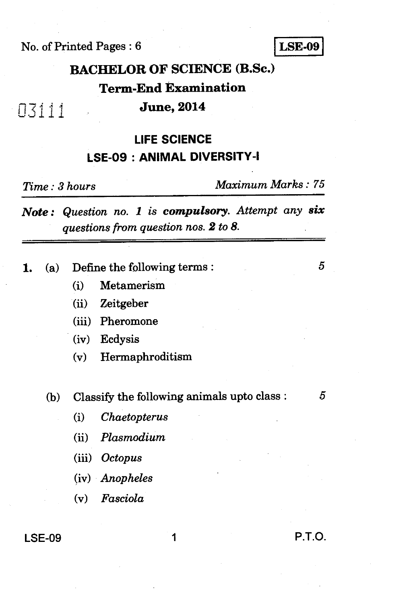No. of Printed Pages : 6 **LSE-09** 

## **BACHELOR OF SCIENCE (B.Sc.)**

### **Term-End Examination**

### **June, 2014**

### **LIFE SCIENCE LSE-09 : ANIMAL DIVERSITY-I**

03111

*Time : 3 hours Maximum Marks : 75* 

*Note : Question no. 1 is compulsory. Attempt any six questions from question nos. 2 to 8.* 

- **1.** (a) Define the following terms :
	- (i) Metamerism
	- (ii) Zeitgeber
	- (iii) Pheromone
	- (iv) Ecdysis
	- (v) Hermaphroditism
	- (b) Classify the following animals upto class :  $5$

5

- *(i) Chaetopterus*
- *(ii) Plasmodium*
- *(iii) Octopus*
- *(iv) Anopheles*
- *(v) Fasciola*

### **LSE-09 1 P.T.O.**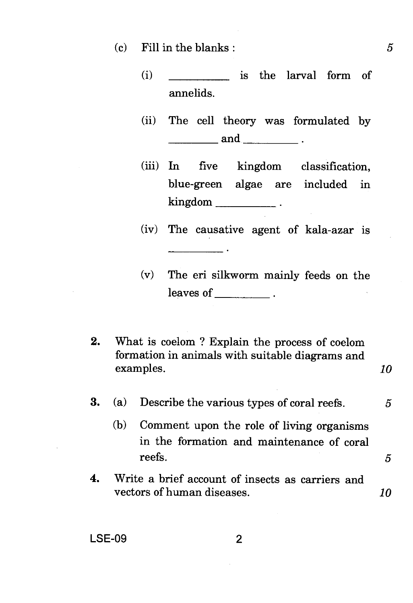- (c) Fill in the blanks : *5* 
	- (i) is the larval form of annelids.
	- (ii) The cell theory was formulated by  $\qquad \qquad \text{and} \qquad \qquad \ldots$
	- (iii) In five kingdom classification, blue-green algae are included in kingdom \_\_\_\_\_\_\_\_\_\_\_\_\_\_\_.
	- (iv) The causative agent of kala-azar is
	- (v) The eri silkworm mainly feeds on the leaves of \_\_\_\_\_\_\_\_\_\_.
- 2. What is coelom ? Explain the process of coelom formation in animals with suitable diagrams and examples. *10*

 $\mathcal{L}$  and  $\mathcal{L}$  are the set of  $\mathcal{L}$ 

- **3.** (a) Describe the various types of coral reefs. 5
	- (b) Comment upon the role of living organisms in the formation and maintenance of coral reefs.  $5<sup>5</sup>$
- 4. Write a brief account of insects as carriers and vectors of human diseases. *10*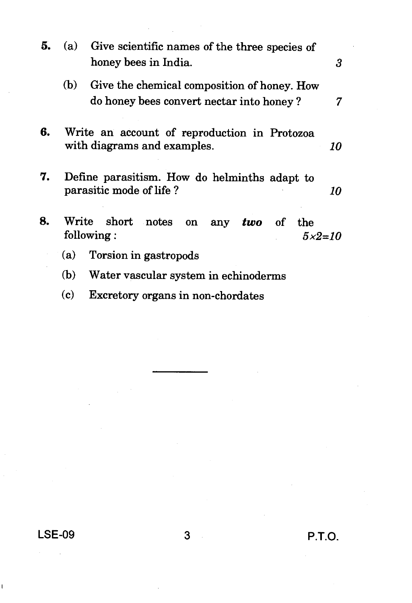| 5. | (a)                                                                               | Give scientific names of the three species of<br>honey bees in India.<br>3                   |  |  |
|----|-----------------------------------------------------------------------------------|----------------------------------------------------------------------------------------------|--|--|
|    | (b)                                                                               | Give the chemical composition of honey. How<br>do honey bees convert nectar into honey?<br>7 |  |  |
| 6. | Write an account of reproduction in Protozoa<br>with diagrams and examples.<br>10 |                                                                                              |  |  |
| 7. | Define parasitism. How do helminths adapt to<br>parasitic mode of life?<br>10     |                                                                                              |  |  |
| 8. | Write<br>short notes<br>any <i>two</i> of<br>on<br>the<br>following:<br>$5x2=10$  |                                                                                              |  |  |
|    | (a)                                                                               | Torsion in gastropods                                                                        |  |  |
|    | (b)<br>Water vascular system in echinoderms                                       |                                                                                              |  |  |
|    | (c)<br>Excretory organs in non-chordates                                          |                                                                                              |  |  |
|    |                                                                                   |                                                                                              |  |  |

**LSE-09 3 P.T.O.** 

 $\alpha_{\rm{max}}$  .

ï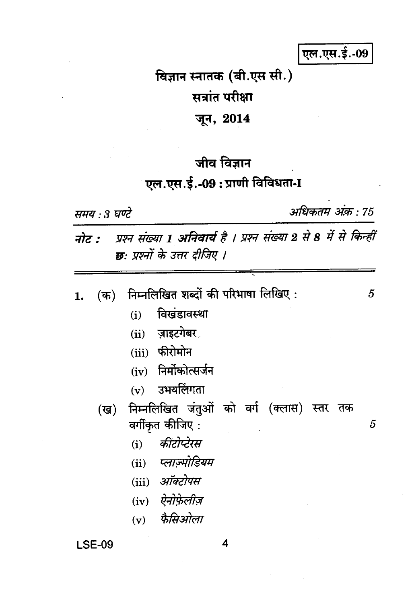एल.एस.ई.-09

# विज्ञान स्नातक (बी.एस सी.) सत्रांत परीक्षा जून, 2014

## जीव विज्ञान

## एल.एस.ई.-09: प्राणी विविधता-I

समय : 3 घण्टे

अधिकतम अंक़ : 75

नोट : प्रश्न संख्या 1 अनिवार्य है । प्रश्न संख्या 2 से 8 में से किन्हीं छ: प्रश्नों के उत्तर दीजिए ।

| $($ क) | निम्नलिखित शब्दों की परिभाषा लिखिए :          | 5 |
|--------|-----------------------------------------------|---|
|        | विखंडावस्था<br>(i)                            |   |
|        | (ii) ज़ाइटगेबर                                |   |
|        | (iii) फीरोमोन                                 |   |
|        | (iv) निर्मोकोत्सर्जन                          |   |
|        | $(v)$ उभयलिंगता                               |   |
|        | (ख) निम्नलिखित जंतुओं को वर्ग (क्लास) स्तर तक |   |
|        | वर्गीकृत कीजिए:                               | 5 |
|        | (i) कीटोप्टेरस                                |   |
|        | (ii) प्लाज्मोडियम                             |   |
|        | (iii) ऑक्टोपस                                 |   |
|        | (iv) ऐनोफ़ेलीज़                               |   |
|        | $(v)$ फैसिओला                                 |   |
|        |                                               |   |

 $\overline{\mathbf{4}}$ 

### **LSE-09**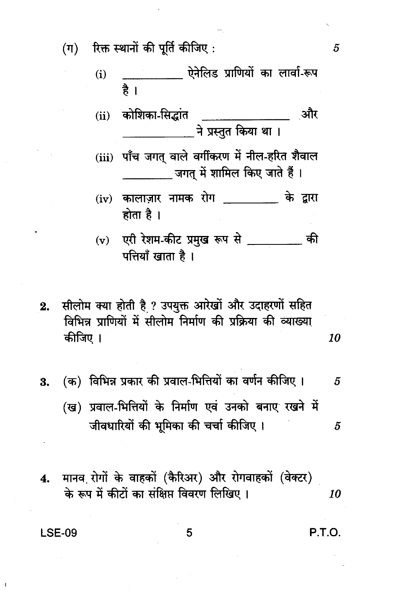रिक्त स्थानों की पूर्ति कीजिए :  $(\boldsymbol{\pi})$ 

- $(i)$ है ।
- कोशिका-सिद्धांत \_\_\_\_\_\_\_\_\_\_\_\_\_ ़और  $(ii)$ ने प्रस्तुत किया था।
- (iii) पाँच जगत वाले वर्गीकरण में नील-हरित शैवाल जगत में शामिल किए जाते हैं ।
- (iv) कालाज़ार नामक रोग के द्रारा होता है ।
- एरी रेशम-कीट प्रमुख रूप से \_\_\_\_\_\_\_\_ की  $(v)$ पत्तियाँ खाता है।
- सीलोम क्या होती है ? उपयुक्त आरेखों और उदाहरणों सहित  $2.$ विभिन्न प्राणियों में सीलोम निर्माण की प्रक्रिया की व्याख्या कीजिए । 10
- (क) विभिन्न प्रकार की प्रवाल-भित्तियों का वर्णन कीजिए । 3. 5
	- (ख) प्रवाल-भित्तियों के निर्माण एवं उनको बनाए रखने में जीवधारियों की भूमिका की चर्चा कीजिए। 5
- मानव रोगों के वाहकों (कैरिअर) और रोगवाहकों (वेक्टर) 4. के रूप में कीटों का संक्षिप्त विवरण लिखिए। 10

**LSE-09** 

 $\overline{A}$ 

P.T.O.

5

5